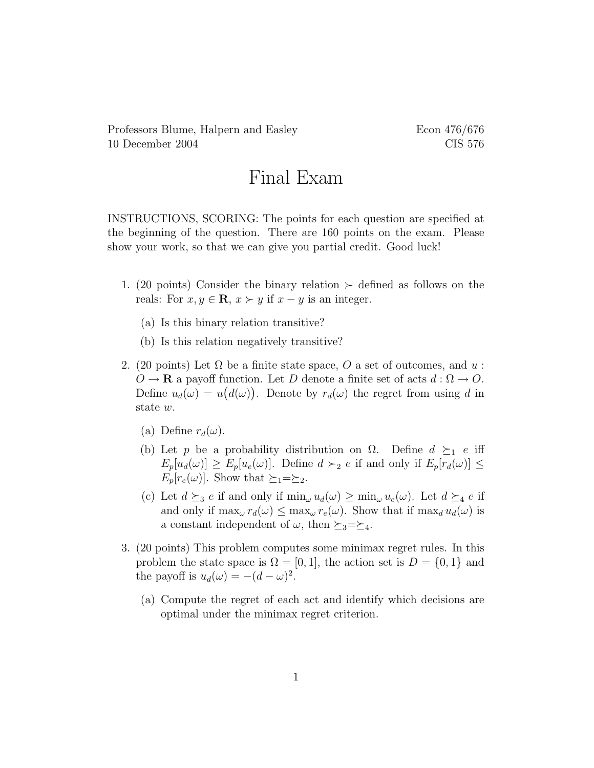Professors Blume, Halpern and Easley Econ 476/676 10 December 2004 CIS 576

## Final Exam

INSTRUCTIONS, SCORING: The points for each question are specified at the beginning of the question. There are 160 points on the exam. Please show your work, so that we can give you partial credit. Good luck!

- 1. (20 points) Consider the binary relation  $\succ$  defined as follows on the reals: For  $x, y \in \mathbf{R}$ ,  $x \succ y$  if  $x - y$  is an integer.
	- (a) Is this binary relation transitive?
	- (b) Is this relation negatively transitive?
- 2. (20 points) Let  $\Omega$  be a finite state space, O a set of outcomes, and u:  $O \to \mathbf{R}$  a payoff function. Let D denote a finite set of acts  $d : \Omega \to O$ . Define  $u_d(\omega) = u(d(\omega))$ . Denote by  $r_d(\omega)$  the regret from using d in state w.
	- (a) Define  $r_d(\omega)$ .
	- (b) Let p be a probability distribution on  $\Omega$ . Define  $d \succeq_1 e$  iff  $E_p[u_d(\omega)] \ge E_p[u_e(\omega)]$ . Define  $d \succ_2 e$  if and only if  $E_p[r_d(\omega)] \le$  $E_p[r_e(\omega)]$ . Show that  $\succeq_1=\succeq_2$ .
	- (c) Let  $d \succeq_3 e$  if and only if  $\min_{\omega} u_d(\omega) \geq \min_{\omega} u_e(\omega)$ . Let  $d \succeq_4 e$  if and only if  $\max_{\omega} r_d(\omega) \leq \max_{\omega} r_e(\omega)$ . Show that if  $\max_d u_d(\omega)$  is a constant independent of  $\omega$ , then  $\succeq_3=\succeq_4$ .
- 3. (20 points) This problem computes some minimax regret rules. In this problem the state space is  $\Omega = [0, 1]$ , the action set is  $D = \{0, 1\}$  and the payoff is  $u_d(\omega) = -(d - \omega)^2$ .
	- (a) Compute the regret of each act and identify which decisions are optimal under the minimax regret criterion.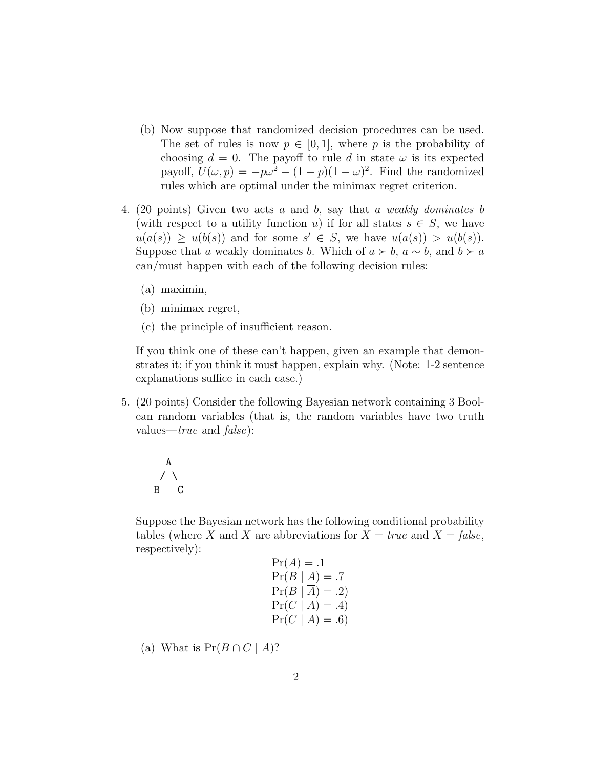- (b) Now suppose that randomized decision procedures can be used. The set of rules is now  $p \in [0, 1]$ , where p is the probability of choosing  $d = 0$ . The payoff to rule d in state  $\omega$  is its expected payoff,  $U(\omega, p) = -p\omega^2 - (1 - p)(1 - \omega)^2$ . Find the randomized rules which are optimal under the minimax regret criterion.
- 4. (20 points) Given two acts a and b, say that a weakly dominates b (with respect to a utility function u) if for all states  $s \in S$ , we have  $u(a(s)) \geq u(b(s))$  and for some  $s' \in S$ , we have  $u(a(s)) > u(b(s))$ . Suppose that a weakly dominates b. Which of  $a \succ b$ ,  $a \sim b$ , and  $b \succ a$ can/must happen with each of the following decision rules:
	- (a) maximin,
	- (b) minimax regret,
	- (c) the principle of insufficient reason.

If you think one of these can't happen, given an example that demonstrates it; if you think it must happen, explain why. (Note: 1-2 sentence explanations suffice in each case.)

5. (20 points) Consider the following Bayesian network containing 3 Boolean random variables (that is, the random variables have two truth values— $true$  and  $false$ ):

$$
\begin{array}{c}\nA \\
\nearrow \\
B\n\end{array}
$$

Suppose the Bayesian network has the following conditional probability tables (where X and  $\overline{X}$  are abbreviations for  $X = true$  and  $X = false$ , respectively):

$$
Pr(A) = .1
$$
  
\n
$$
Pr(B | A) = .7
$$
  
\n
$$
Pr(B | \overline{A}) = .2)
$$
  
\n
$$
Pr(C | A) = .4)
$$
  
\n
$$
Pr(C | \overline{A}) = .6)
$$

(a) What is  $Pr(\overline{B} \cap C \mid A)$ ?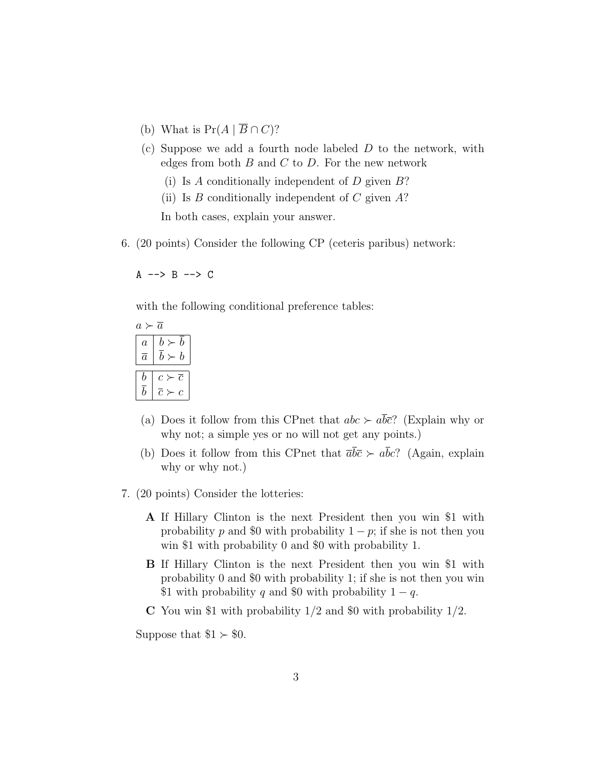- (b) What is  $Pr(A | \overline{B} \cap C)$ ?
- (c) Suppose we add a fourth node labeled D to the network, with edges from both  $B$  and  $C$  to  $D$ . For the new network
	- (i) Is A conditionally independent of  $D$  given  $B$ ?
	- (ii) Is  $B$  conditionally independent of  $C$  given  $A$ ?

In both cases, explain your answer.

6. (20 points) Consider the following CP (ceteris paribus) network:

 $A \rightarrow B \rightarrow C$ 

with the following conditional preference tables:

| A.<br>$\it a$  |                               |
|----------------|-------------------------------|
| $\overline{a}$ | h<br>$b \succ$                |
| $\it a$        | $b \succ$<br>$\boldsymbol{b}$ |
|                |                               |
| b              | $\overline{c}$<br>$c \succ$   |
| h              | Ċ<br>٩                        |

- (a) Does it follow from this CPnet that  $abc \succ a\overline{b}\overline{c}$ ? (Explain why or why not; a simple yes or no will not get any points.)
- (b) Does it follow from this CPnet that  $\overline{a}b\overline{c} \succ a\overline{b}c$ ? (Again, explain why or why not.)
- 7. (20 points) Consider the lotteries:
	- A If Hillary Clinton is the next President then you win \$1 with probability p and \$0 with probability  $1 - p$ ; if she is not then you win \$1 with probability 0 and \$0 with probability 1.
	- B If Hillary Clinton is the next President then you win \$1 with probability 0 and \$0 with probability 1; if she is not then you win \$1 with probability q and \$0 with probability  $1 - q$ .
	- C You win \$1 with probability  $1/2$  and \$0 with probability  $1/2$ .

Suppose that  $$1 \succ $0$ .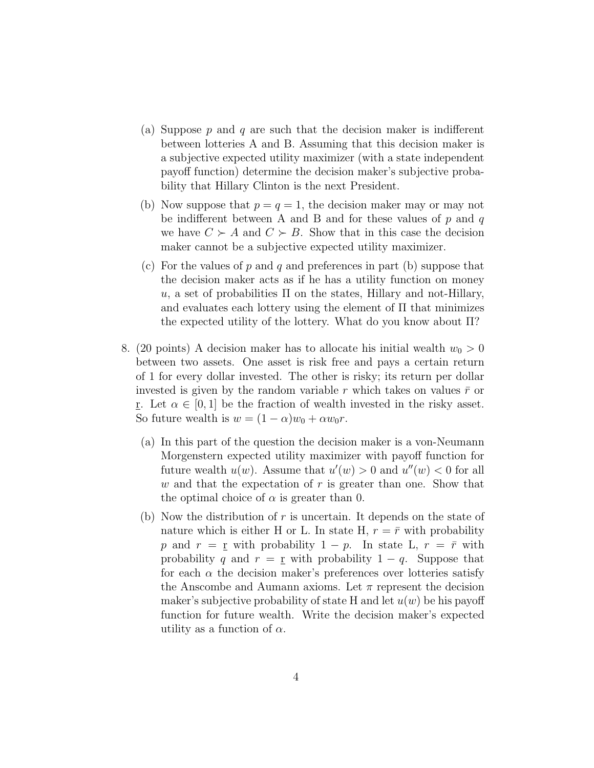- (a) Suppose p and q are such that the decision maker is indifferent between lotteries A and B. Assuming that this decision maker is a subjective expected utility maximizer (with a state independent payoff function) determine the decision maker's subjective probability that Hillary Clinton is the next President.
- (b) Now suppose that  $p = q = 1$ , the decision maker may or may not be indifferent between A and B and for these values of  $p$  and  $q$ we have  $C \succ A$  and  $C \succ B$ . Show that in this case the decision maker cannot be a subjective expected utility maximizer.
- (c) For the values of p and q and preferences in part (b) suppose that the decision maker acts as if he has a utility function on money u, a set of probabilities  $\Pi$  on the states, Hillary and not-Hillary, and evaluates each lottery using the element of Π that minimizes the expected utility of the lottery. What do you know about Π?
- 8. (20 points) A decision maker has to allocate his initial wealth  $w_0 > 0$ between two assets. One asset is risk free and pays a certain return of 1 for every dollar invested. The other is risky; its return per dollar invested is given by the random variable r which takes on values  $\bar{r}$  or r. Let  $\alpha \in [0,1]$  be the fraction of wealth invested in the risky asset. So future wealth is  $w = (1 - \alpha)w_0 + \alpha w_0 r$ .
	- (a) In this part of the question the decision maker is a von-Neumann Morgenstern expected utility maximizer with payoff function for future wealth  $u(w)$ . Assume that  $u'(w) > 0$  and  $u''(w) < 0$  for all w and that the expectation of  $r$  is greater than one. Show that the optimal choice of  $\alpha$  is greater than 0.
	- (b) Now the distribution of  $r$  is uncertain. It depends on the state of nature which is either H or L. In state H,  $r = \bar{r}$  with probability p and  $r = r$  with probability  $1 - p$ . In state L,  $r = \bar{r}$  with probability q and  $r = r$  with probability  $1 - q$ . Suppose that for each  $\alpha$  the decision maker's preferences over lotteries satisfy the Anscombe and Aumann axioms. Let  $\pi$  represent the decision maker's subjective probability of state H and let  $u(w)$  be his payoff function for future wealth. Write the decision maker's expected utility as a function of  $\alpha$ .